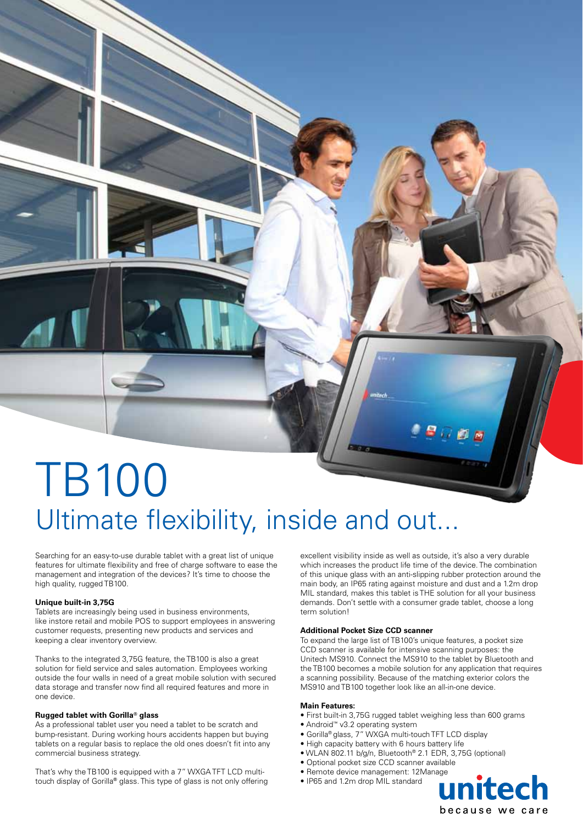# TB100 Ultimate flexibility, inside and out...

Searching for an easy-to-use durable tablet with a great list of unique features for ultimate flexibility and free of charge software to ease the management and integration of the devices? It's time to choose the high quality, rugged TB100.

#### **Unique built-in 3,75G**

Tablets are increasingly being used in business environments, like instore retail and mobile POS to support employees in answering customer requests, presenting new products and services and keeping a clear inventory overview.

Thanks to the integrated 3,75G feature, the TB100 is also a great solution for field service and sales automation. Employees working outside the four walls in need of a great mobile solution with secured data storage and transfer now find all required features and more in one device.

#### **Rugged tablet with Gorilla® glass**

As a professional tablet user you need a tablet to be scratch and bump-resistant. During working hours accidents happen but buying tablets on a regular basis to replace the old ones doesn't fit into any commercial business strategy.

That's why the TB100 is equipped with a 7" WXGA TFT LCD multitouch display of Gorilla**®** glass. This type of glass is not only offering

excellent visibility inside as well as outside, it's also a very durable which increases the product life time of the device. The combination of this unique glass with an anti-slipping rubber protection around the main body, an IP65 rating against moisture and dust and a 1.2m drop MIL standard, makes this tablet is THE solution for all your business demands. Don't settle with a consumer grade tablet, choose a long term solution!

**SODB** 

#### **Additional Pocket Size CCD scanner**

To expand the large list of TB100's unique features, a pocket size CCD scanner is available for intensive scanning purposes: the Unitech MS910. Connect the MS910 to the tablet by Bluetooth and the TB100 becomes a mobile solution for any application that requires a scanning possibility. Because of the matching exterior colors the MS910 and TB100 together look like an all-in-one device.

#### **Main Features:**

- First built-in 3,75G rugged tablet weighing less than 600 grams
- Android™ v3.2 operating system
- Gorilla® glass, 7" WXGA multi-touch TFT LCD display
- High capacity battery with 6 hours battery life
- WLAN 802.11 b/g/n, Bluetooth® 2.1 EDR, 3,75G (optional)
- Optional pocket size CCD scanner available
- Remote device management: 12Manage
- IP65 and 1.2m drop MIL standard